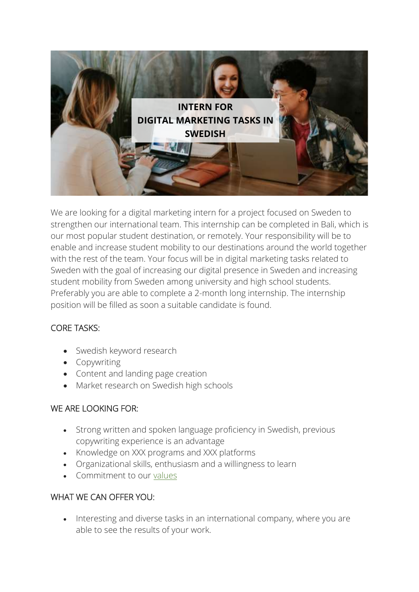

We are looking for a digital marketing intern for a project focused on Sweden to strengthen our international team. This internship can be completed in Bali, which is our most popular student destination, or remotely. Your responsibility will be to enable and increase student mobility to our destinations around the world together with the rest of the team. Your focus will be in digital marketing tasks related to Sweden with the goal of increasing our digital presence in Sweden and increasing student mobility from Sweden among university and high school students. Preferably you are able to complete a 2-month long internship. The internship position will be filled as soon a suitable candidate is found.

# CORE TASKS:

- Swedish keyword research
- Copywriting
- Content and landing page creation
- Market research on Swedish high schools

# WE ARE LOOKING FOR:

- Strong written and spoken language proficiency in Swedish, previous copywriting experience is an advantage
- Knowledge on XXX programs and XXX platforms
- Organizational skills, enthusiasm and a willingness to learn
- Commitment to our [values](https://asiaexchange.org/asia-exchange-company-value/)

### WHAT WE CAN OFFER YOU:

• Interesting and diverse tasks in an international company, where you are able to see the results of your work.